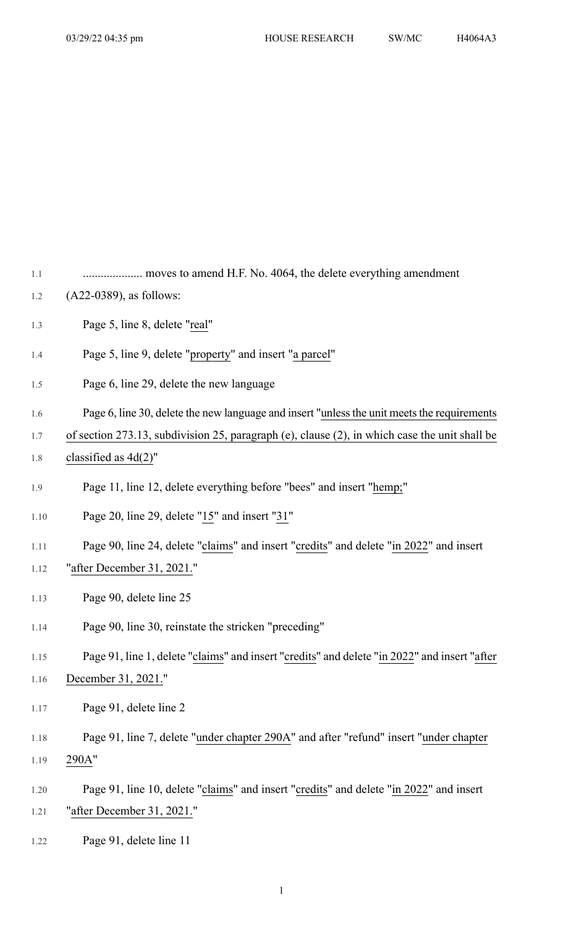1.1 .................... moves to amend H.F. No. 4064, the delete everything amendment

- 1.2 (A22-0389), as follows:
- 1.3 Page 5, line 8, delete "real"
- 1.4 Page 5, line 9, delete "property" and insert "a parcel"
- 1.5 Page 6, line 29, delete the new language
- 1.6 Page 6, line 30, delete the new language and insert "unless the unit meets the requirements
- 1.7 of section 273.13, subdivision 25, paragraph (e), clause (2), in which case the unit shall be
- 1.8 classified as  $4d(2)$ "
- 1.9 Page 11, line 12, delete everything before "bees" and insert "hemp;"
- 1.10 Page 20, line 29, delete "15" and insert "31"
- 1.11 Page 90, line 24, delete "claims" and insert "credits" and delete "in 2022" and insert
- 1.12 "after December 31, 2021."
- 1.13 Page 90, delete line 25
- 1.14 Page 90, line 30, reinstate the stricken "preceding"

## 1.15 Page 91, line 1, delete "claims" and insert "credits" and delete "in 2022" and insert "after

- 1.16 December 31, 2021."
- 1.17 Page 91, delete line 2
- 1.18 Page 91, line 7, delete "under chapter 290A" and after "refund" insert "under chapter 1.19 290A"
- 1.20 Page 91, line 10, delete "claims" and insert "credits" and delete "in 2022" and insert 1.21 "after December 31, 2021."
- 1.22 Page 91, delete line 11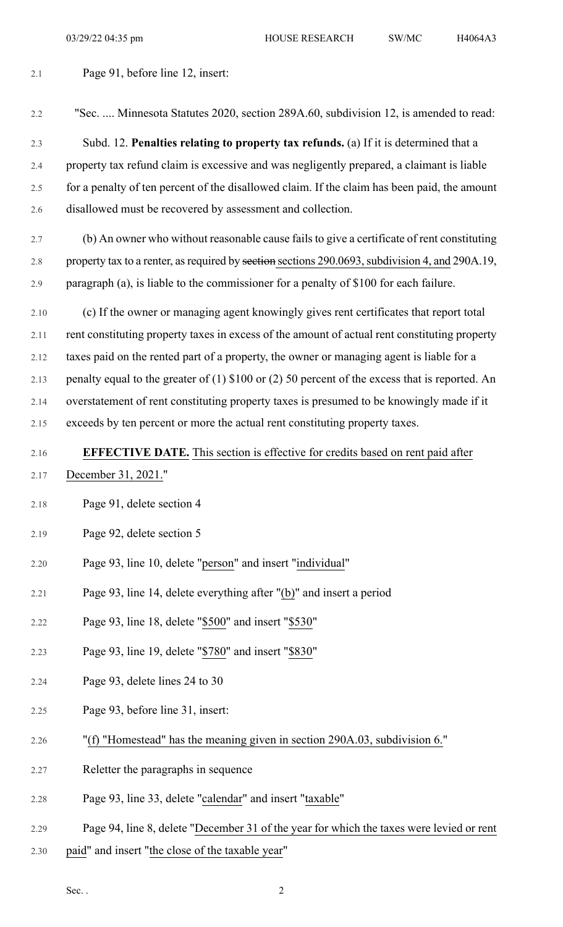2.1 Page 91, before line 12, insert:

2.2 "Sec. .... Minnesota Statutes 2020, section 289A.60, subdivision 12, is amended to read: 2.3 Subd. 12. **Penalties relating to property tax refunds.** (a) If it is determined that a 2.4 property tax refund claim is excessive and was negligently prepared, a claimant is liable 2.5 for a penalty of ten percent of the disallowed claim. If the claim has been paid, the amount 2.6 disallowed must be recovered by assessment and collection. 2.7 (b) An owner who without reasonable cause fails to give a certificate of rent constituting 2.8 property tax to a renter, as required by sections exctions 290.0693, subdivision 4, and 290A.19, 2.9 paragraph (a), is liable to the commissioner for a penalty of \$100 for each failure. 2.10 (c) If the owner or managing agent knowingly gives rent certificates that report total 2.11 rent constituting property taxes in excess of the amount of actual rent constituting property 2.12 taxes paid on the rented part of a property, the owner or managing agent is liable for a 2.13 penalty equal to the greater of (1) \$100 or (2) 50 percent of the excess that is reported. An 2.14 overstatement of rent constituting property taxes is presumed to be knowingly made if it 2.15 exceeds by ten percent or more the actual rent constituting property taxes. 2.16 **EFFECTIVE DATE.** This section is effective for credits based on rent paid after 2.17 December 31, 2021." 2.18 Page 91, delete section 4 2.19 Page 92, delete section 5 2.20 Page 93, line 10, delete "person" and insert "individual" 2.21 Page 93, line 14, delete everything after "(b)" and insert a period 2.22 Page 93, line 18, delete "\$500" and insert "\$530" 2.23 Page 93, line 19, delete "\$780" and insert "\$830" 2.24 Page 93, delete lines 24 to 30 2.25 Page 93, before line 31, insert: 2.26 "(f) "Homestead" has the meaning given in section 290A.03, subdivision 6." 2.27 Reletter the paragraphs in sequence 2.28 Page 93, line 33, delete "calendar" and insert "taxable" 2.29 Page 94, line 8, delete "December 31 of the year for which the taxes were levied or rent 2.30 paid" and insert "the close of the taxable year"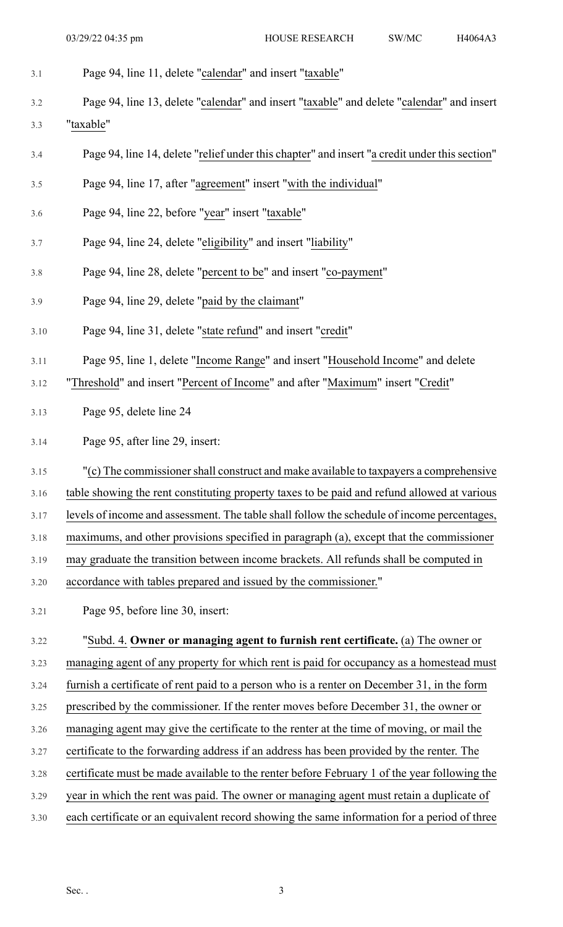- 3.1 Page 94, line 11, delete "calendar" and insert "taxable"
- 3.2 Page 94, line 13, delete "calendar" and insert "taxable" and delete "calendar" and insert 3.3 "taxable"
- 3.4 Page 94, line 14, delete "relief under this chapter" and insert "a credit under this section"
- 3.5 Page 94, line 17, after "agreement" insert "with the individual"
- 3.6 Page 94, line 22, before "year" insert "taxable"
- 3.7 Page 94, line 24, delete "eligibility" and insert "liability"
- 3.8 Page 94, line 28, delete "percent to be" and insert "co-payment"
- 3.9 Page 94, line 29, delete "paid by the claimant"
- 3.10 Page 94, line 31, delete "state refund" and insert "credit"
- 3.11 Page 95, line 1, delete "Income Range" and insert "Household Income" and delete
- 3.12 "Threshold" and insert "Percent of Income" and after "Maximum" insert "Credit"
- 3.13 Page 95, delete line 24
- 3.14 Page 95, after line 29, insert:
- 3.15 "(c) The commissionershall construct and make available to taxpayers a comprehensive
- 3.16 table showing the rent constituting property taxes to be paid and refund allowed at various
- 3.17 levels of income and assessment. The table shall follow the schedule of income percentages,
- 3.18 maximums, and other provisions specified in paragraph (a), except that the commissioner
- 3.19 may graduate the transition between income brackets. All refunds shall be computed in
- 3.20 accordance with tables prepared and issued by the commissioner."
- 3.21 Page 95, before line 30, insert:

## 3.22 "Subd. 4. **Owner or managing agent to furnish rent certificate.** (a) The owner or 3.23 managing agent of any property for which rent is paid for occupancy as a homestead must 3.24 furnish a certificate of rent paid to a person who is a renter on December 31, in the form 3.25 prescribed by the commissioner. If the renter moves before December 31, the owner or

- 3.26 managing agent may give the certificate to the renter at the time of moving, or mail the
- 3.27 certificate to the forwarding address if an address has been provided by the renter. The
- 3.28 certificate must be made available to the renter before February 1 of the year following the
- 3.29 year in which the rent was paid. The owner or managing agent must retain a duplicate of
- 3.30 each certificate or an equivalent record showing the same information for a period of three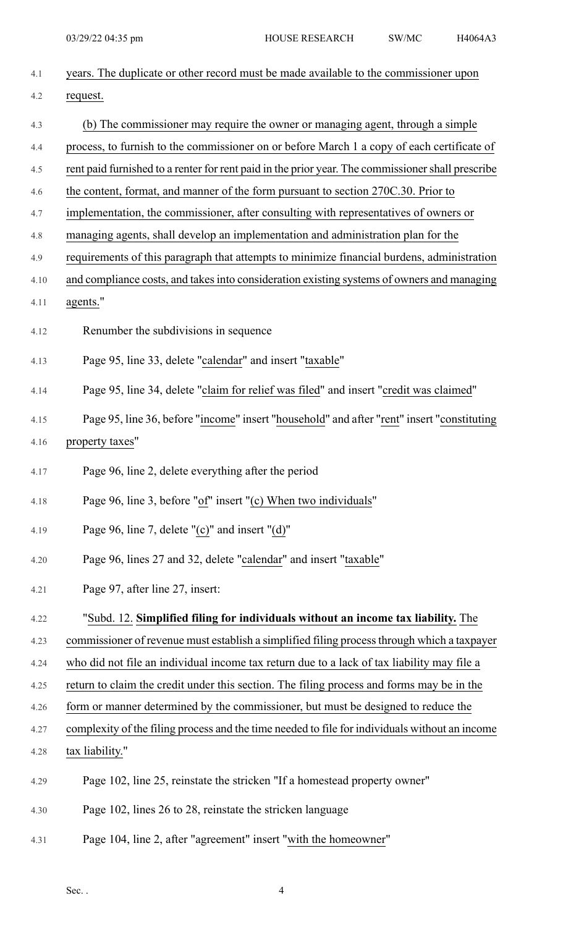| 4.1  | years. The duplicate or other record must be made available to the commissioner upon              |
|------|---------------------------------------------------------------------------------------------------|
| 4.2  | request.                                                                                          |
| 4.3  | (b) The commissioner may require the owner or managing agent, through a simple                    |
| 4.4  | process, to furnish to the commissioner on or before March 1 a copy of each certificate of        |
| 4.5  | rent paid furnished to a renter for rent paid in the prior year. The commissioner shall prescribe |
| 4.6  | the content, format, and manner of the form pursuant to section 270C.30. Prior to                 |
| 4.7  | implementation, the commissioner, after consulting with representatives of owners or              |
| 4.8  | managing agents, shall develop an implementation and administration plan for the                  |
| 4.9  | requirements of this paragraph that attempts to minimize financial burdens, administration        |
| 4.10 | and compliance costs, and takes into consideration existing systems of owners and managing        |
| 4.11 | agents."                                                                                          |
| 4.12 | Renumber the subdivisions in sequence                                                             |
| 4.13 | Page 95, line 33, delete "calendar" and insert "taxable"                                          |
| 4.14 | Page 95, line 34, delete "claim for relief was filed" and insert "credit was claimed"             |
| 4.15 | Page 95, line 36, before "income" insert "household" and after "rent" insert "constituting        |
| 4.16 | property taxes"                                                                                   |
| 4.17 | Page 96, line 2, delete everything after the period                                               |
| 4.18 | Page 96, line 3, before "of" insert "(c) When two individuals"                                    |
| 4.19 | Page 96, line 7, delete "(c)" and insert "(d)"                                                    |
| 4.20 | Page 96, lines 27 and 32, delete "calendar" and insert "taxable"                                  |
| 4.21 | Page 97, after line 27, insert:                                                                   |
| 4.22 | "Subd. 12. Simplified filing for individuals without an income tax liability. The                 |
| 4.23 | commissioner of revenue must establish a simplified filing process through which a taxpayer       |
| 4.24 | who did not file an individual income tax return due to a lack of tax liability may file a        |
| 4.25 | return to claim the credit under this section. The filing process and forms may be in the         |
| 4.26 | form or manner determined by the commissioner, but must be designed to reduce the                 |
| 4.27 | complexity of the filing process and the time needed to file for individuals without an income    |
| 4.28 | tax liability."                                                                                   |
| 4.29 | Page 102, line 25, reinstate the stricken "If a homestead property owner"                         |
| 4.30 | Page 102, lines 26 to 28, reinstate the stricken language                                         |
| 4.31 | Page 104, line 2, after "agreement" insert "with the homeowner"                                   |

Sec.  $4$